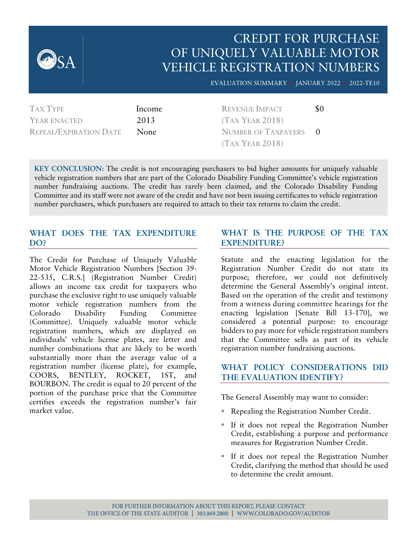

YEAR ENACTED 2013 REPEAL/EXPIRATION DATE None

(TAX YEAR 2018) NUMBER OF TAXPAYERS 0 (TAX YEAR 2018)

**KEY CONCLUSION:** The credit is not encouraging purchasers to bid higher amounts for uniquely valuable vehicle registration numbers that are part of the Colorado Disability Funding Committee's vehicle registration number fundraising auctions. The credit has rarely been claimed, and the Colorado Disability Funding Committee and its staff were not aware of the credit and have not been issuing certificates to vehicle registration number purchasers, which purchasers are required to attach to their tax returns to claim the credit.

#### **WHAT DOES THE TAX EXPENDITURE DO?**

The Credit for Purchase of Uniquely Valuable Motor Vehicle Registration Numbers [Section 39- 22-535, C.R.S.] (Registration Number Credit) allows an income tax credit for taxpayers who purchase the exclusive right to use uniquely valuable motor vehicle registration numbers from the Colorado Disability Funding Committee (Committee). Uniquely valuable motor vehicle registration numbers, which are displayed on individuals' vehicle license plates, are letter and number combinations that are likely to be worth substantially more than the average value of a registration number (license plate), for example, COORS, BENTLEY, ROCKET, 1ST, and BOURBON. The credit is equal to 20 percent of the portion of the purchase price that the Committee certifies exceeds the registration number's fair market value.

## **WHAT IS THE PURPOSE OF THE TAX EXPENDITURE?**

Statute and the enacting legislation for the Registration Number Credit do not state its purpose; therefore, we could not definitively determine the General Assembly's original intent. Based on the operation of the credit and testimony from a witness during committee hearings for the enacting legislation [Senate Bill 13-170], we considered a potential purpose: to encourage bidders to pay more for vehicle registration numbers that the Committee sells as part of its vehicle registration number fundraising auctions.

## **WHAT POLICY CONSIDERATIONS DID THE EVALUATION IDENTIFY?**

The General Assembly may want to consider:

- Repealing the Registration Number Credit.
- If it does not repeal the Registration Number Credit, establishing a purpose and performance measures for Registration Number Credit.
- If it does not repeal the Registration Number Credit, clarifying the method that should be used to determine the credit amount.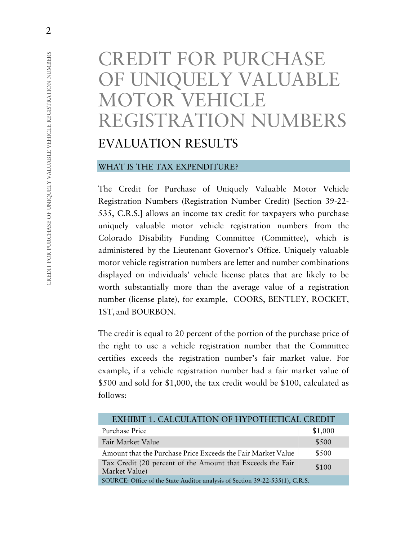# CREDIT FOR PURCHASE OF UNIQUELY VALUABLE MOTOR VEHICLE REGISTRATION NUMBERS EVALUATION RESULTS

#### WHAT IS THE TAX EXPENDITURE?

The Credit for Purchase of Uniquely Valuable Motor Vehicle Registration Numbers (Registration Number Credit) [Section 39-22- 535, C.R.S.] allows an income tax credit for taxpayers who purchase uniquely valuable motor vehicle registration numbers from the Colorado Disability Funding Committee (Committee), which is administered by the Lieutenant Governor's Office. Uniquely valuable motor vehicle registration numbers are letter and number combinations displayed on individuals' vehicle license plates that are likely to be worth substantially more than the average value of a registration number (license plate), for example, COORS, BENTLEY, ROCKET, 1ST, and BOURBON.

The credit is equal to 20 percent of the portion of the purchase price of the right to use a vehicle registration number that the Committee certifies exceeds the registration number's fair market value. For example, if a vehicle registration number had a fair market value of \$500 and sold for \$1,000, the tax credit would be \$100, calculated as follows:

| EXHIBIT 1. CALCULATION OF HYPOTHETICAL CREDIT                                |         |
|------------------------------------------------------------------------------|---------|
| Purchase Price                                                               | \$1,000 |
| Fair Market Value                                                            | \$500   |
| Amount that the Purchase Price Exceeds the Fair Market Value                 | \$500   |
| Tax Credit (20 percent of the Amount that Exceeds the Fair<br>Market Value)  | \$100   |
| SOURCE: Office of the State Auditor analysis of Section 39-22-535(1), C.R.S. |         |

2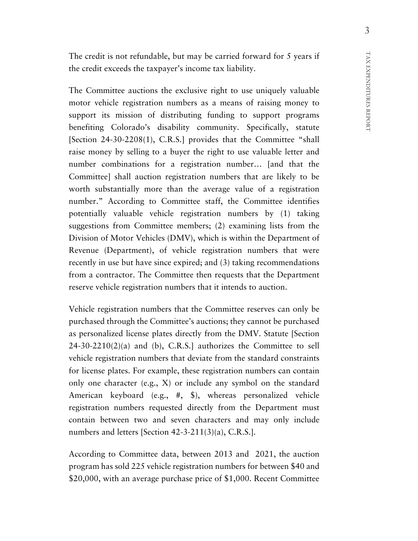TAX EXPENDITURES REPORT TAX EXPENDITURES REPORT

The credit is not refundable, but may be carried forward for 5 years if the credit exceeds the taxpayer's income tax liability.

The Committee auctions the exclusive right to use uniquely valuable motor vehicle registration numbers as a means of raising money to support its mission of distributing funding to support programs benefiting Colorado's disability community. Specifically, statute [Section 24-30-2208(1), C.R.S.] provides that the Committee "shall raise money by selling to a buyer the right to use valuable letter and number combinations for a registration number… [and that the Committee] shall auction registration numbers that are likely to be worth substantially more than the average value of a registration number." According to Committee staff, the Committee identifies potentially valuable vehicle registration numbers by (1) taking suggestions from Committee members; (2) examining lists from the Division of Motor Vehicles (DMV), which is within the Department of Revenue (Department), of vehicle registration numbers that were recently in use but have since expired; and (3) taking recommendations from a contractor. The Committee then requests that the Department reserve vehicle registration numbers that it intends to auction.

Vehicle registration numbers that the Committee reserves can only be purchased through the Committee's auctions; they cannot be purchased as personalized license plates directly from the DMV. Statute [Section  $24-30-2210(2)(a)$  and (b), C.R.S.] authorizes the Committee to sell vehicle registration numbers that deviate from the standard constraints for license plates. For example, these registration numbers can contain only one character (e.g., X) or include any symbol on the standard American keyboard (e.g., #, \$), whereas personalized vehicle registration numbers requested directly from the Department must contain between two and seven characters and may only include numbers and letters [Section 42-3-211(3)(a), C.R.S.].

According to Committee data, between 2013 and 2021, the auction program has sold 225 vehicle registration numbers for between \$40 and \$20,000, with an average purchase price of \$1,000. Recent Committee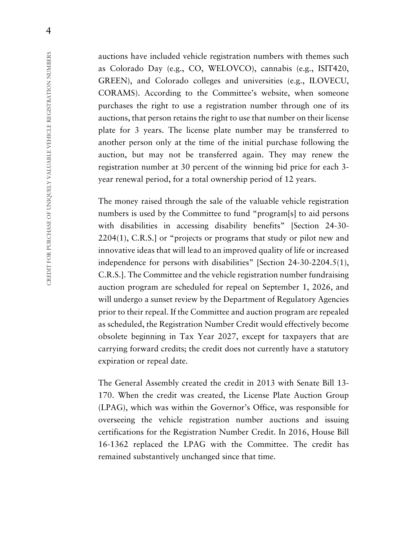auctions have included vehicle registration numbers with themes such as Colorado Day (e.g., CO, WELOVCO), cannabis (e.g., ISIT420, GREEN), and Colorado colleges and universities (e.g., ILOVECU, CORAMS). According to the Committee's website, when someone purchases the right to use a registration number through one of its auctions, that person retains the right to use that number on their license plate for 3 years. The license plate number may be transferred to another person only at the time of the initial purchase following the auction, but may not be transferred again. They may renew the registration number at 30 percent of the winning bid price for each 3 year renewal period, for a total ownership period of 12 years.

The money raised through the sale of the valuable vehicle registration numbers is used by the Committee to fund "program[s] to aid persons with disabilities in accessing disability benefits" [Section 24-30-2204(1), C.R.S.] or "projects or programs that study or pilot new and innovative ideas that will lead to an improved quality of life or increased independence for persons with disabilities" [Section 24-30-2204.5(1), C.R.S.]. The Committee and the vehicle registration number fundraising auction program are scheduled for repeal on September 1, 2026, and will undergo a sunset review by the Department of Regulatory Agencies prior to their repeal. If the Committee and auction program are repealed as scheduled, the Registration Number Credit would effectively become obsolete beginning in Tax Year 2027, except for taxpayers that are carrying forward credits; the credit does not currently have a statutory expiration or repeal date.

The General Assembly created the credit in 2013 with Senate Bill 13- 170. When the credit was created, the License Plate Auction Group (LPAG), which was within the Governor's Office, was responsible for overseeing the vehicle registration number auctions and issuing certifications for the Registration Number Credit. In 2016, House Bill 16-1362 replaced the LPAG with the Committee. The credit has remained substantively unchanged since that time.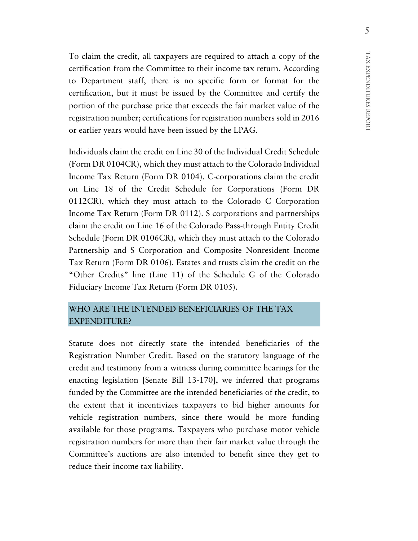To claim the credit, all taxpayers are required to attach a copy of the certification from the Committee to their income tax return. According to Department staff, there is no specific form or format for the certification, but it must be issued by the Committee and certify the portion of the purchase price that exceeds the fair market value of the registration number; certifications for registration numbers sold in 2016 or earlier years would have been issued by the LPAG.

Individuals claim the credit on Line 30 of the Individual Credit Schedule (Form DR 0104CR), which they must attach to the Colorado Individual Income Tax Return (Form DR 0104). C-corporations claim the credit on Line 18 of the Credit Schedule for Corporations (Form DR 0112CR), which they must attach to the Colorado C Corporation Income Tax Return (Form DR 0112). S corporations and partnerships claim the credit on Line 16 of the Colorado Pass-through Entity Credit Schedule (Form DR 0106CR), which they must attach to the Colorado Partnership and S Corporation and Composite Nonresident Income Tax Return (Form DR 0106). Estates and trusts claim the credit on the "Other Credits" line (Line 11) of the Schedule G of the Colorado Fiduciary Income Tax Return (Form DR 0105).

# WHO ARE THE INTENDED BENEFICIARIES OF THE TAX EXPENDITURE?

Statute does not directly state the intended beneficiaries of the Registration Number Credit. Based on the statutory language of the credit and testimony from a witness during committee hearings for the enacting legislation [Senate Bill 13-170], we inferred that programs funded by the Committee are the intended beneficiaries of the credit, to the extent that it incentivizes taxpayers to bid higher amounts for vehicle registration numbers, since there would be more funding available for those programs. Taxpayers who purchase motor vehicle registration numbers for more than their fair market value through the Committee's auctions are also intended to benefit since they get to reduce their income tax liability.

REPORT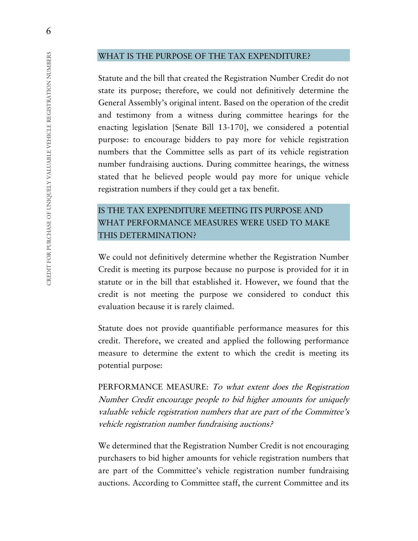#### WHAT IS THE PURPOSE OF THE TAX EXPENDITURE?

Statute and the bill that created the Registration Number Credit do not state its purpose; therefore, we could not definitively determine the General Assembly's original intent. Based on the operation of the credit and testimony from a witness during committee hearings for the enacting legislation [Senate Bill 13-170], we considered a potential purpose: to encourage bidders to pay more for vehicle registration numbers that the Committee sells as part of its vehicle registration number fundraising auctions. During committee hearings, the witness stated that he believed people would pay more for unique vehicle registration numbers if they could get a tax benefit.

# IS THE TAX EXPENDITURE MEETING ITS PURPOSE AND WHAT PERFORMANCE MEASURES WERE USED TO MAKE THIS DETERMINATION?

We could not definitively determine whether the Registration Number Credit is meeting its purpose because no purpose is provided for it in statute or in the bill that established it. However, we found that the credit is not meeting the purpose we considered to conduct this evaluation because it is rarely claimed.

Statute does not provide quantifiable performance measures for this credit. Therefore, we created and applied the following performance measure to determine the extent to which the credit is meeting its potential purpose:

PERFORMANCE MEASURE: To what extent does the Registration Number Credit encourage people to bid higher amounts for uniquely valuable vehicle registration numbers that are part of the Committee's vehicle registration number fundraising auctions?

We determined that the Registration Number Credit is not encouraging purchasers to bid higher amounts for vehicle registration numbers that are part of the Committee's vehicle registration number fundraising auctions. According to Committee staff, the current Committee and its

6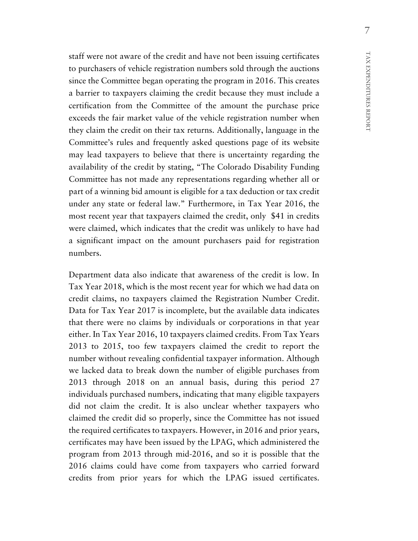staff were not aware of the credit and have not been issuing certificates to purchasers of vehicle registration numbers sold through the auctions since the Committee began operating the program in 2016. This creates a barrier to taxpayers claiming the credit because they must include a certification from the Committee of the amount the purchase price exceeds the fair market value of the vehicle registration number when they claim the credit on their tax returns. Additionally, language in the Committee's rules and frequently asked questions page of its website may lead taxpayers to believe that there is uncertainty regarding the availability of the credit by stating, "The Colorado Disability Funding Committee has not made any representations regarding whether all or part of a winning bid amount is eligible for a tax deduction or tax credit under any state or federal law." Furthermore, in Tax Year 2016, the most recent year that taxpayers claimed the credit, only \$41 in credits were claimed, which indicates that the credit was unlikely to have had a significant impact on the amount purchasers paid for registration numbers.

Department data also indicate that awareness of the credit is low. In Tax Year 2018, which is the most recent year for which we had data on credit claims, no taxpayers claimed the Registration Number Credit. Data for Tax Year 2017 is incomplete, but the available data indicates that there were no claims by individuals or corporations in that year either. In Tax Year 2016, 10 taxpayers claimed credits. From Tax Years 2013 to 2015, too few taxpayers claimed the credit to report the number without revealing confidential taxpayer information. Although we lacked data to break down the number of eligible purchases from 2013 through 2018 on an annual basis, during this period 27 individuals purchased numbers, indicating that many eligible taxpayers did not claim the credit. It is also unclear whether taxpayers who claimed the credit did so properly, since the Committee has not issued the required certificates to taxpayers. However, in 2016 and prior years, certificates may have been issued by the LPAG, which administered the program from 2013 through mid-2016, and so it is possible that the 2016 claims could have come from taxpayers who carried forward credits from prior years for which the LPAG issued certificates.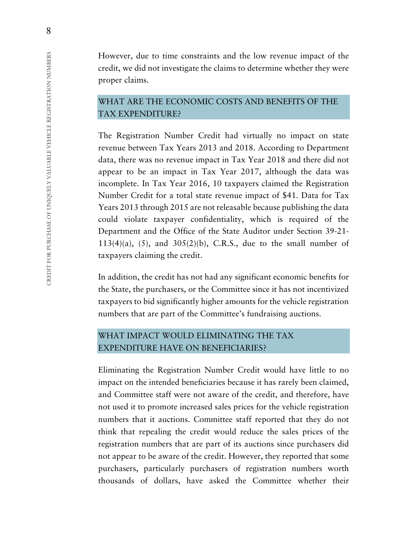However, due to time constraints and the low revenue impact of the credit, we did not investigate the claims to determine whether they were proper claims.

## WHAT ARE THE ECONOMIC COSTS AND BENEFITS OF THE TAX EXPENDITURE?

The Registration Number Credit had virtually no impact on state revenue between Tax Years 2013 and 2018. According to Department data, there was no revenue impact in Tax Year 2018 and there did not appear to be an impact in Tax Year 2017, although the data was incomplete. In Tax Year 2016, 10 taxpayers claimed the Registration Number Credit for a total state revenue impact of \$41. Data for Tax Years 2013 through 2015 are not releasable because publishing the data could violate taxpayer confidentiality, which is required of the Department and the Office of the State Auditor under Section 39-21-  $113(4)(a)$ ,  $(5)$ , and  $305(2)(b)$ , C.R.S., due to the small number of taxpayers claiming the credit.

In addition, the credit has not had any significant economic benefits for the State, the purchasers, or the Committee since it has not incentivized taxpayers to bid significantly higher amounts for the vehicle registration numbers that are part of the Committee's fundraising auctions.

# WHAT IMPACT WOULD ELIMINATING THE TAX EXPENDITURE HAVE ON BENEFICIARIES?

Eliminating the Registration Number Credit would have little to no impact on the intended beneficiaries because it has rarely been claimed, and Committee staff were not aware of the credit, and therefore, have not used it to promote increased sales prices for the vehicle registration numbers that it auctions. Committee staff reported that they do not think that repealing the credit would reduce the sales prices of the registration numbers that are part of its auctions since purchasers did not appear to be aware of the credit. However, they reported that some purchasers, particularly purchasers of registration numbers worth thousands of dollars, have asked the Committee whether their

8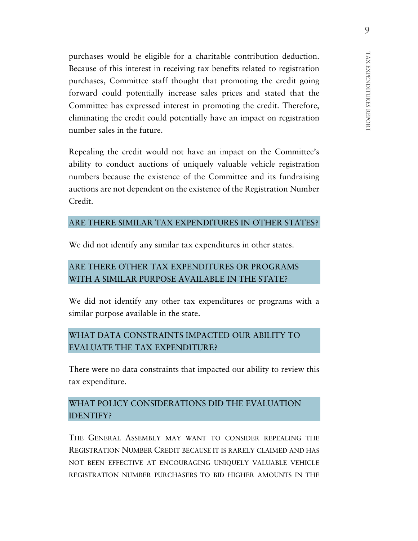purchases would be eligible for a charitable contribution deduction. Because of this interest in receiving tax benefits related to registration purchases, Committee staff thought that promoting the credit going forward could potentially increase sales prices and stated that the Committee has expressed interest in promoting the credit. Therefore, eliminating the credit could potentially have an impact on registration number sales in the future.

Repealing the credit would not have an impact on the Committee's ability to conduct auctions of uniquely valuable vehicle registration numbers because the existence of the Committee and its fundraising auctions are not dependent on the existence of the Registration Number Credit.

## ARE THERE SIMILAR TAX EXPENDITURES IN OTHER STATES?

We did not identify any similar tax expenditures in other states.

# ARE THERE OTHER TAX EXPENDITURES OR PROGRAMS WITH A SIMILAR PURPOSE AVAILABLE IN THE STATE?

We did not identify any other tax expenditures or programs with a similar purpose available in the state.

# WHAT DATA CONSTRAINTS IMPACTED OUR ABILITY TO EVALUATE THE TAX EXPENDITURE?

There were no data constraints that impacted our ability to review this tax expenditure.

## WHAT POLICY CONSIDERATIONS DID THE EVALUATION IDENTIFY?

THE GENERAL ASSEMBLY MAY WANT TO CONSIDER REPEALING THE REGISTRATION NUMBER CREDIT BECAUSE IT IS RARELY CLAIMED AND HAS NOT BEEN EFFECTIVE AT ENCOURAGING UNIQUELY VALUABLE VEHICLE REGISTRATION NUMBER PURCHASERS TO BID HIGHER AMOUNTS IN THE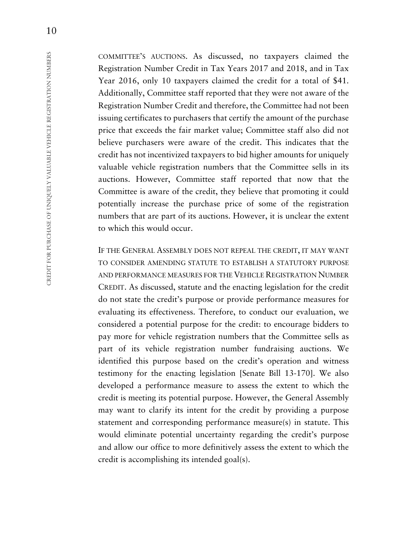COMMITTEE'S AUCTIONS. As discussed, no taxpayers claimed the Registration Number Credit in Tax Years 2017 and 2018, and in Tax Year 2016, only 10 taxpayers claimed the credit for a total of \$41. Additionally, Committee staff reported that they were not aware of the Registration Number Credit and therefore, the Committee had not been issuing certificates to purchasers that certify the amount of the purchase price that exceeds the fair market value; Committee staff also did not believe purchasers were aware of the credit. This indicates that the credit has not incentivized taxpayers to bid higher amounts for uniquely valuable vehicle registration numbers that the Committee sells in its auctions. However, Committee staff reported that now that the Committee is aware of the credit, they believe that promoting it could potentially increase the purchase price of some of the registration numbers that are part of its auctions. However, it is unclear the extent to which this would occur.

IF THE GENERAL ASSEMBLY DOES NOT REPEAL THE CREDIT, IT MAY WANT TO CONSIDER AMENDING STATUTE TO ESTABLISH A STATUTORY PURPOSE AND PERFORMANCE MEASURES FOR THE VEHICLE REGISTRATION NUMBER CREDIT. As discussed, statute and the enacting legislation for the credit do not state the credit's purpose or provide performance measures for evaluating its effectiveness. Therefore, to conduct our evaluation, we considered a potential purpose for the credit: to encourage bidders to pay more for vehicle registration numbers that the Committee sells as part of its vehicle registration number fundraising auctions. We identified this purpose based on the credit's operation and witness testimony for the enacting legislation [Senate Bill 13-170]. We also developed a performance measure to assess the extent to which the credit is meeting its potential purpose. However, the General Assembly may want to clarify its intent for the credit by providing a purpose statement and corresponding performance measure(s) in statute. This would eliminate potential uncertainty regarding the credit's purpose and allow our office to more definitively assess the extent to which the credit is accomplishing its intended goal(s).